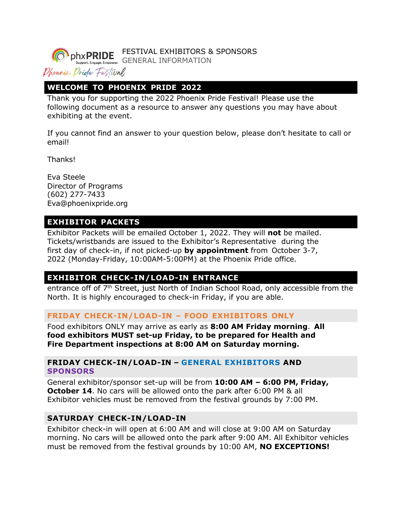FESTIVAL EXHIBITORS & SPONSORS phxPRIDE

GENERAL INFORMATION

# Dhoenix Dride Festival

### **WELCOME TO PHOENIX PRIDE 2022**

Thank you for supporting the 2022 Phoenix Pride Festival! Please use the following document as a resource to answer any questions you may have about exhibiting at the event.

If you cannot find an answer to your question below, please don't hesitate to call or email!

Thanks!

Eva Steele Director of Programs (602) 277-7433 [Eva@phoenixpride.org](mailto:Eva@phoenixpride.org)

### **EXHIBITOR PACKETS**

Exhibitor Packets will be emailed October 1, 2022. They will **not** be mailed. Tickets/wristbands are issued to the Exhibitor's Representative during the first day of check-in, if not picked-up **by appointment** from October 3-7, 2022 (Monday-Friday, 10:00AM-5:00PM) at the Phoenix Pride office.

# In your Exhibitor Packet you will find a map that marks the location of the exhibitor **EXHIBITOR CHECK-IN/LOAD-IN ENTRANCE**

entrance off of 7<sup>th</sup> Street, just North of Indian School Road, only accessible from the North. It is highly encouraged to check-in Friday, if you are able.

#### **FRIDAY CHECK-IN/LOAD-IN – FOOD EXHIBITORS ONLY**

Food exhibitors ONLY may arrive as early as **8:00 AM Friday morning**. **All food exhibitors MUST set-up Friday, to be prepared for Health and Fire Department inspections at 8:00 AM on Saturday morning.**

#### **FRIDAY CHECK-IN/LOAD-IN – GENERAL EXHIBITORS AND SPONSORS**

General exhibitor/sponsor set-up will be from **10:00 AM – 6:00 PM, Friday, October 14.** No cars will be allowed onto the park after 6:00 PM & all Exhibitor vehicles must be removed from the festival grounds by 7:00 PM.

#### **SATURDAY CHECK-IN/LOAD-IN**

Exhibitor check-in will open at 6:00 AM and will close at 9:00 AM on Saturday morning. No cars will be allowed onto the park after 9:00 AM. All Exhibitor vehicles must be removed from the festival grounds by 10:00 AM, **NO EXCEPTIONS!**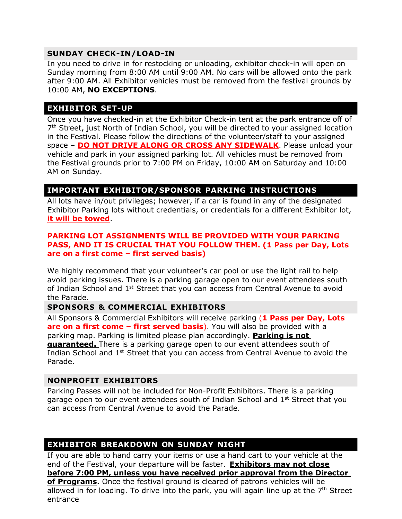#### **SUNDAY CHECK-IN/LOAD-IN**

In you need to drive in for restocking or unloading, exhibitor check-in will open on Sunday morning from 8:00 AM until 9:00 AM. No cars will be allowed onto the park after 9:00 AM. All Exhibitor vehicles must be removed from the festival grounds by 10:00 AM, **NO EXCEPTIONS**.

# **EXHIBITOR SET-UP**

Once you have checked-in at the Exhibitor Check-in tent at the park entrance off of 7<sup>th</sup> Street, just North of Indian School, you will be directed to your assigned location in the Festival. Please follow the directions of the volunteer/staff to your assigned space – **DO NOT DRIVE ALONG OR CROSS ANY SIDEWALK**. Please unload your vehicle and park in your assigned parking lot. All vehicles must be removed from the Festival grounds prior to 7:00 PM on Friday, 10:00 AM on Saturday and 10:00 AM on Sunday.

## **IMPORTANT EXHIBITOR/SPONSOR PARKING INSTRUCTIONS**

All lots have in/out privileges; however, if a car is found in any of the designated Exhibitor Parking lots without credentials, or credentials for a different Exhibitor lot, **it will be towed**.

#### **PARKING LOT ASSIGNMENTS WILL BE PROVIDED WITH YOUR PARKING PASS, AND IT IS CRUCIAL THAT YOU FOLLOW THEM. (1 Pass per Day, Lots are on a first come – first served basis)**

We highly recommend that your volunteer's car pool or use the light rail to help avoid parking issues. There is a parking garage open to our event attendees south of Indian School and 1<sup>st</sup> Street that you can access from Central Avenue to avoid the Parade.

### **SPONSORS & COMMERCIAL EXHIBITORS**

All Sponsors & Commercial Exhibitors will receive parking (**1 Pass per Day, Lots are on a first come – first served basis**). You will also be provided with a parking map. Parking is limited please plan accordingly. **Parking is not guaranteed.** There is a parking garage open to our event attendees south of Indian School and 1<sup>st</sup> Street that you can access from Central Avenue to avoid the Parade.

#### **NONPROFIT EXHIBITORS**

Parking Passes will not be included for Non-Profit Exhibitors. There is a parking garage open to our event attendees south of Indian School and 1<sup>st</sup> Street that you can access from Central Avenue to avoid the Parade.

## **EXHIBITOR BREAKDOWN ON SUNDAY NIGHT**

If you are able to hand carry your items or use a hand cart to your vehicle at the end of the Festival, your departure will be faster. **Exhibitors may not close before 7:00 PM, unless you have received prior approval from the Director of Programs.** Once the festival ground is cleared of patrons vehicles will be allowed in for loading. To drive into the park, you will again line up at the  $7<sup>th</sup>$  Street entrance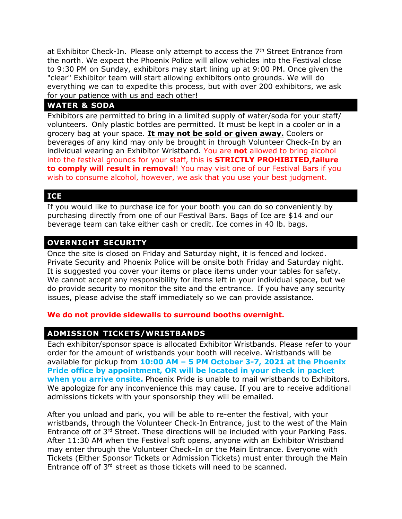at Exhibitor Check-In. Please only attempt to access the  $7<sup>th</sup>$  Street Entrance from the north. We expect the Phoenix Police will allow vehicles into the Festival close to 9:30 PM on Sunday, exhibitors may start lining up at 9:00 PM. Once given the "clear" Exhibitor team will start allowing exhibitors onto grounds. We will do everything we can to expedite this process, but with over 200 exhibitors, we ask for your patience with us and each other!

#### **WATER & SODA**

Exhibitors are permitted to bring in a limited supply of water/soda for your staff/ volunteers. Only plastic bottles are permitted. It must be kept in a cooler or in a grocery bag at your space. **It may not be sold or given away.** Coolers or beverages of any kind may only be brought in through Volunteer Check-In by an individual wearing an Exhibitor Wristband. You are **not** allowed to bring alcohol into the festival grounds for your staff, this is **STRICTLY PROHIBITED,failure to comply will result in removal**! You may visit one of our Festival Bars if you wish to consume alcohol, however, we ask that you use your best judgment.

#### **ICE**

If you would like to purchase ice for your booth you can do so conveniently by purchasing directly from one of our Festival Bars. Bags of Ice are \$14 and our beverage team can take either cash or credit. Ice comes in 40 lb. bags.

### **OVERNIGHT SECURITY**

Once the site is closed on Friday and Saturday night, it is fenced and locked. Private Security and Phoenix Police will be onsite both Friday and Saturday night. It is suggested you cover your items or place items under your tables for safety. We cannot accept any responsibility for items left in your individual space, but we do provide security to monitor the site and the entrance. If you have any security issues, please advise the staff immediately so we can provide assistance.

#### **We do not provide sidewalls to surround booths overnight.**

## **ADMISSION TICKETS/WRISTBANDS**

Each exhibitor/sponsor space is allocated Exhibitor Wristbands. Please refer to your order for the amount of wristbands your booth will receive. Wristbands will be available for pickup from **10:00 AM – 5 PM October 3-7, 2021 at the Phoenix Pride office by appointment, OR will be located in your check in packet when you arrive onsite.** Phoenix Pride is unable to mail wristbands to Exhibitors. We apologize for any inconvenience this may cause. If you are to receive additional admissions tickets with your sponsorship they will be emailed.

After you unload and park, you will be able to re-enter the festival, with your wristbands, through the Volunteer Check-In Entrance, just to the west of the Main Entrance off of 3rd Street. These directions will be included with your Parking Pass. After 11:30 AM when the Festival soft opens, anyone with an Exhibitor Wristband may enter through the Volunteer Check-In or the Main Entrance. Everyone with Tickets (Either Sponsor Tickets or Admission Tickets) must enter through the Main Entrance off of 3<sup>rd</sup> street as those tickets will need to be scanned.